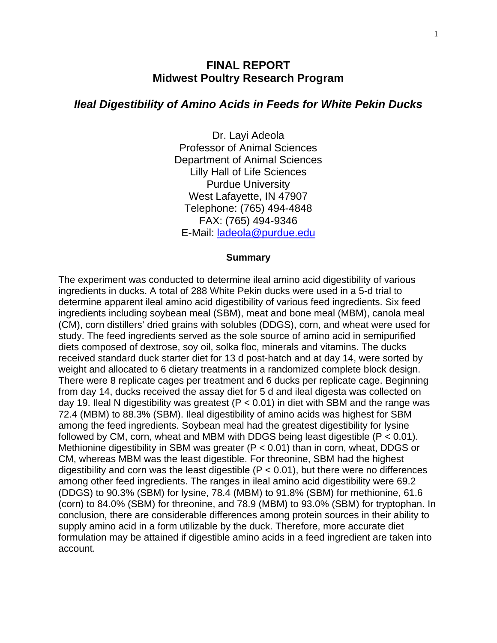# **FINAL REPORT Midwest Poultry Research Program**

## *Ileal Digestibility of Amino Acids in Feeds for White Pekin Ducks*

Dr. Layi Adeola Professor of Animal Sciences Department of Animal Sciences Lilly Hall of Life Sciences Purdue University West Lafayette, IN 47907 Telephone: (765) 494-4848 FAX: (765) 494-9346 E-Mail: [ladeola@purdue.edu](mailto:ladeola@purdue.edu)

#### **Summary**

The experiment was conducted to determine ileal amino acid digestibility of various ingredients in ducks. A total of 288 White Pekin ducks were used in a 5-d trial to determine apparent ileal amino acid digestibility of various feed ingredients. Six feed ingredients including soybean meal (SBM), meat and bone meal (MBM), canola meal (CM), corn distillers' dried grains with solubles (DDGS), corn, and wheat were used for study. The feed ingredients served as the sole source of amino acid in semipurified diets composed of dextrose, soy oil, solka floc, minerals and vitamins. The ducks received standard duck starter diet for 13 d post-hatch and at day 14, were sorted by weight and allocated to 6 dietary treatments in a randomized complete block design. There were 8 replicate cages per treatment and 6 ducks per replicate cage. Beginning from day 14, ducks received the assay diet for 5 d and ileal digesta was collected on day 19. Ileal N digestibility was greatest ( $P < 0.01$ ) in diet with SBM and the range was 72.4 (MBM) to 88.3% (SBM). Ileal digestibility of amino acids was highest for SBM among the feed ingredients. Soybean meal had the greatest digestibility for lysine followed by CM, corn, wheat and MBM with DDGS being least digestible  $(P < 0.01)$ . Methionine digestibility in SBM was greater ( $P < 0.01$ ) than in corn, wheat, DDGS or CM, whereas MBM was the least digestible. For threonine, SBM had the highest digestibility and corn was the least digestible  $(P < 0.01)$ , but there were no differences among other feed ingredients. The ranges in ileal amino acid digestibility were 69.2 (DDGS) to 90.3% (SBM) for lysine, 78.4 (MBM) to 91.8% (SBM) for methionine, 61.6 (corn) to 84.0% (SBM) for threonine, and 78.9 (MBM) to 93.0% (SBM) for tryptophan. In conclusion, there are considerable differences among protein sources in their ability to supply amino acid in a form utilizable by the duck. Therefore, more accurate diet formulation may be attained if digestible amino acids in a feed ingredient are taken into account.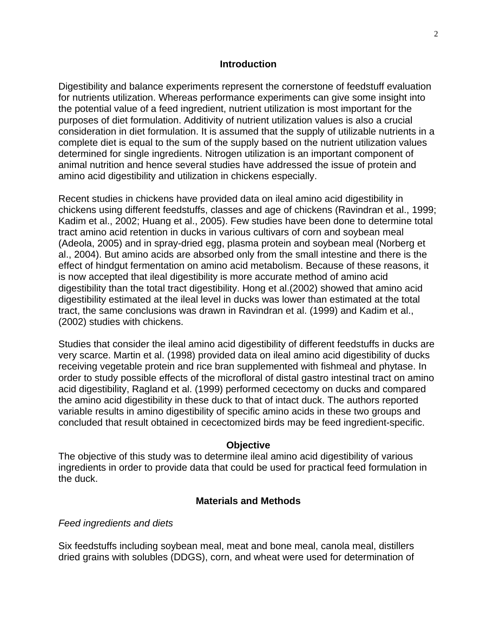### **Introduction**

Digestibility and balance experiments represent the cornerstone of feedstuff evaluation for nutrients utilization. Whereas performance experiments can give some insight into the potential value of a feed ingredient, nutrient utilization is most important for the purposes of diet formulation. Additivity of nutrient utilization values is also a crucial consideration in diet formulation. It is assumed that the supply of utilizable nutrients in a complete diet is equal to the sum of the supply based on the nutrient utilization values determined for single ingredients. Nitrogen utilization is an important component of animal nutrition and hence several studies have addressed the issue of protein and amino acid digestibility and utilization in chickens especially.

Recent studies in chickens have provided data on ileal amino acid digestibility in chickens using different feedstuffs, classes and age of chickens (Ravindran et al., 1999; Kadim et al., 2002; Huang et al., 2005). Few studies have been done to determine total tract amino acid retention in ducks in various cultivars of corn and soybean meal (Adeola, 2005) and in spray-dried egg, plasma protein and soybean meal (Norberg et al., 2004). But amino acids are absorbed only from the small intestine and there is the effect of hindgut fermentation on amino acid metabolism. Because of these reasons, it is now accepted that ileal digestibility is more accurate method of amino acid digestibility than the total tract digestibility. Hong et al.(2002) showed that amino acid digestibility estimated at the ileal level in ducks was lower than estimated at the total tract, the same conclusions was drawn in Ravindran et al. (1999) and Kadim et al., (2002) studies with chickens.

Studies that consider the ileal amino acid digestibility of different feedstuffs in ducks are very scarce. Martin et al. (1998) provided data on ileal amino acid digestibility of ducks receiving vegetable protein and rice bran supplemented with fishmeal and phytase. In order to study possible effects of the microfloral of distal gastro intestinal tract on amino acid digestibility, Ragland et al. (1999) performed cecectomy on ducks and compared the amino acid digestibility in these duck to that of intact duck. The authors reported variable results in amino digestibility of specific amino acids in these two groups and concluded that result obtained in cecectomized birds may be feed ingredient-specific.

## **Objective**

The objective of this study was to determine ileal amino acid digestibility of various ingredients in order to provide data that could be used for practical feed formulation in the duck.

## **Materials and Methods**

## *Feed ingredients and diets*

Six feedstuffs including soybean meal, meat and bone meal, canola meal, distillers dried grains with solubles (DDGS), corn, and wheat were used for determination of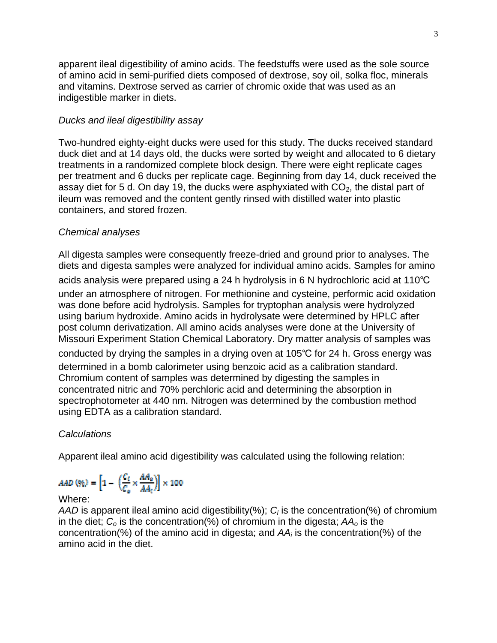apparent ileal digestibility of amino acids. The feedstuffs were used as the sole source of amino acid in semi-purified diets composed of dextrose, soy oil, solka floc, minerals and vitamins. Dextrose served as carrier of chromic oxide that was used as an indigestible marker in diets.

## *Ducks and ileal digestibility assay*

Two-hundred eighty-eight ducks were used for this study. The ducks received standard duck diet and at 14 days old, the ducks were sorted by weight and allocated to 6 dietary treatments in a randomized complete block design. There were eight replicate cages per treatment and 6 ducks per replicate cage. Beginning from day 14, duck received the assay diet for 5 d. On day 19, the ducks were asphyxiated with  $CO<sub>2</sub>$ , the distal part of ileum was removed and the content gently rinsed with distilled water into plastic containers, and stored frozen.

## *Chemical analyses*

All digesta samples were consequently freeze-dried and ground prior to analyses. The diets and digesta samples were analyzed for individual amino acids. Samples for amino

acids analysis were prepared using a 24 h hydrolysis in 6 N hydrochloric acid at 110℃ under an atmosphere of nitrogen. For methionine and cysteine, performic acid oxidation was done before acid hydrolysis. Samples for tryptophan analysis were hydrolyzed using barium hydroxide. Amino acids in hydrolysate were determined by HPLC after post column derivatization. All amino acids analyses were done at the University of Missouri Experiment Station Chemical Laboratory. Dry matter analysis of samples was conducted by drying the samples in a drying oven at 105℃ for 24 h. Gross energy was determined in a bomb calorimeter using benzoic acid as a calibration standard. Chromium content of samples was determined by digesting the samples in concentrated nitric and 70% perchloric acid and determining the absorption in spectrophotometer at 440 nm. Nitrogen was determined by the combustion method

# *Calculations*

Apparent ileal amino acid digestibility was calculated using the following relation:

$$
AAD\left(\% \right) = \left[ 1 - \left( \frac{C_t}{C_o} \times \frac{AA_o}{AA_t} \right) \right] \times 100
$$

using EDTA as a calibration standard.

## Where:

*AAD* is apparent ileal amino acid digestibility(%);  $C_i$  is the concentration(%) of chromium in the diet; *Co* is the concentration(%) of chromium in the digesta; *AAo* is the concentration(%) of the amino acid in digesta; and *AAi* is the concentration(%) of the amino acid in the diet.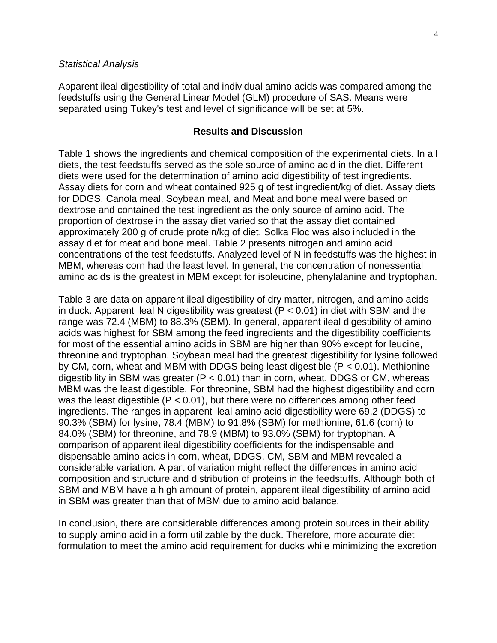### *Statistical Analysis*

Apparent ileal digestibility of total and individual amino acids was compared among the feedstuffs using the General Linear Model (GLM) procedure of SAS. Means were separated using Tukey's test and level of significance will be set at 5%.

### **Results and Discussion**

Table 1 shows the ingredients and chemical composition of the experimental diets. In all diets, the test feedstuffs served as the sole source of amino acid in the diet. Different diets were used for the determination of amino acid digestibility of test ingredients. Assay diets for corn and wheat contained 925 g of test ingredient/kg of diet. Assay diets for DDGS, Canola meal, Soybean meal, and Meat and bone meal were based on dextrose and contained the test ingredient as the only source of amino acid. The proportion of dextrose in the assay diet varied so that the assay diet contained approximately 200 g of crude protein/kg of diet. Solka Floc was also included in the assay diet for meat and bone meal. Table 2 presents nitrogen and amino acid concentrations of the test feedstuffs. Analyzed level of N in feedstuffs was the highest in MBM, whereas corn had the least level. In general, the concentration of nonessential amino acids is the greatest in MBM except for isoleucine, phenylalanine and tryptophan.

Table 3 are data on apparent ileal digestibility of dry matter, nitrogen, and amino acids in duck. Apparent ileal N digestibility was greatest ( $P < 0.01$ ) in diet with SBM and the range was 72.4 (MBM) to 88.3% (SBM). In general, apparent ileal digestibility of amino acids was highest for SBM among the feed ingredients and the digestibility coefficients for most of the essential amino acids in SBM are higher than 90% except for leucine, threonine and tryptophan. Soybean meal had the greatest digestibility for lysine followed by CM, corn, wheat and MBM with DDGS being least digestible (P < 0.01). Methionine digestibility in SBM was greater ( $P < 0.01$ ) than in corn, wheat, DDGS or CM, whereas MBM was the least digestible. For threonine, SBM had the highest digestibility and corn was the least digestible ( $P < 0.01$ ), but there were no differences among other feed ingredients. The ranges in apparent ileal amino acid digestibility were 69.2 (DDGS) to 90.3% (SBM) for lysine, 78.4 (MBM) to 91.8% (SBM) for methionine, 61.6 (corn) to 84.0% (SBM) for threonine, and 78.9 (MBM) to 93.0% (SBM) for tryptophan. A comparison of apparent ileal digestibility coefficients for the indispensable and dispensable amino acids in corn, wheat, DDGS, CM, SBM and MBM revealed a considerable variation. A part of variation might reflect the differences in amino acid composition and structure and distribution of proteins in the feedstuffs. Although both of SBM and MBM have a high amount of protein, apparent ileal digestibility of amino acid in SBM was greater than that of MBM due to amino acid balance.

In conclusion, there are considerable differences among protein sources in their ability to supply amino acid in a form utilizable by the duck. Therefore, more accurate diet formulation to meet the amino acid requirement for ducks while minimizing the excretion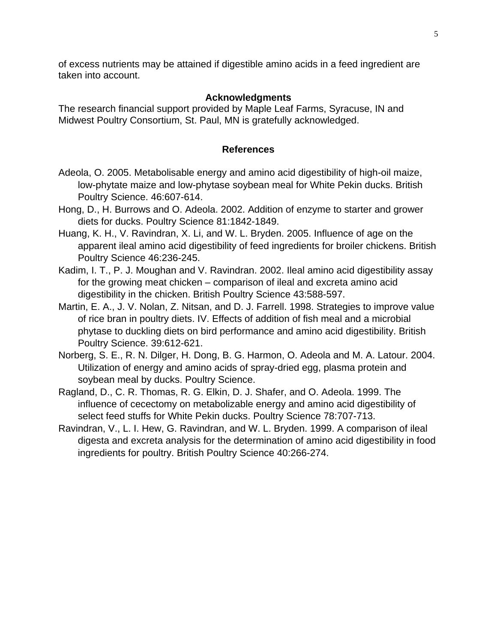of excess nutrients may be attained if digestible amino acids in a feed ingredient are taken into account.

## **Acknowledgments**

The research financial support provided by Maple Leaf Farms, Syracuse, IN and Midwest Poultry Consortium, St. Paul, MN is gratefully acknowledged.

## **References**

- Adeola, O. 2005. Metabolisable energy and amino acid digestibility of high-oil maize, low-phytate maize and low-phytase soybean meal for White Pekin ducks. British Poultry Science. 46:607-614.
- Hong, D., H. Burrows and O. Adeola. 2002. Addition of enzyme to starter and grower diets for ducks. Poultry Science 81:1842-1849.
- Huang, K. H., V. Ravindran, X. Li, and W. L. Bryden. 2005. Influence of age on the apparent ileal amino acid digestibility of feed ingredients for broiler chickens. British Poultry Science 46:236-245.
- Kadim, I. T., P. J. Moughan and V. Ravindran. 2002. Ileal amino acid digestibility assay for the growing meat chicken – comparison of ileal and excreta amino acid digestibility in the chicken. British Poultry Science 43:588-597.
- Martin, E. A., J. V. Nolan, Z. Nitsan, and D. J. Farrell. 1998. Strategies to improve value of rice bran in poultry diets. IV. Effects of addition of fish meal and a microbial phytase to duckling diets on bird performance and amino acid digestibility. British Poultry Science. 39:612-621.
- Norberg, S. E., R. N. Dilger, H. Dong, B. G. Harmon, O. Adeola and M. A. Latour. 2004. Utilization of energy and amino acids of spray-dried egg, plasma protein and soybean meal by ducks. Poultry Science.
- Ragland, D., C. R. Thomas, R. G. Elkin, D. J. Shafer, and O. Adeola. 1999. The influence of cecectomy on metabolizable energy and amino acid digestibility of select feed stuffs for White Pekin ducks. Poultry Science 78:707-713.
- Ravindran, V., L. I. Hew, G. Ravindran, and W. L. Bryden. 1999. A comparison of ileal digesta and excreta analysis for the determination of amino acid digestibility in food ingredients for poultry. British Poultry Science 40:266-274.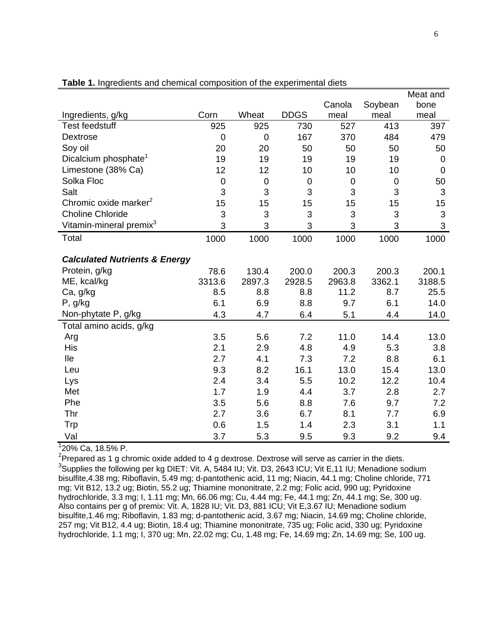|                                          |             |             |                  |             |         | Meat and         |
|------------------------------------------|-------------|-------------|------------------|-------------|---------|------------------|
|                                          |             |             |                  | Canola      | Soybean | bone             |
| Ingredients, g/kg                        | Corn        | Wheat       | <b>DDGS</b>      | meal        | meal    | meal             |
| <b>Test feedstuff</b>                    | 925         | 925         | 730              | 527         | 413     | 397              |
| <b>Dextrose</b>                          | $\pmb{0}$   | 0           | 167              | 370         | 484     | 479              |
| Soy oil                                  | 20          | 20          | 50               | 50          | 50      | 50               |
| Dicalcium phosphate <sup>1</sup>         | 19          | 19          | 19               | 19          | 19      | $\boldsymbol{0}$ |
| Limestone (38% Ca)                       | 12          | 12          | 10               | 10          | 10      | $\pmb{0}$        |
| Solka Floc                               | $\mathbf 0$ | $\mathbf 0$ | $\boldsymbol{0}$ | $\mathbf 0$ | 0       | 50               |
| Salt                                     | 3           | 3           | 3                | 3           | 3       | $\sqrt{3}$       |
| Chromic oxide marker <sup>2</sup>        | 15          | 15          | 15               | 15          | 15      | 15               |
| <b>Choline Chloride</b>                  | 3           | 3           | 3                | 3           | 3       | $\mathbf{3}$     |
| Vitamin-mineral premix <sup>3</sup>      | 3           | 3           | 3                | 3           | 3       | 3                |
| Total                                    | 1000        | 1000        | 1000             | 1000        | 1000    | 1000             |
| <b>Calculated Nutrients &amp; Energy</b> |             |             |                  |             |         |                  |
| Protein, g/kg                            | 78.6        | 130.4       | 200.0            | 200.3       | 200.3   | 200.1            |
| ME, kcal/kg                              | 3313.6      | 2897.3      | 2928.5           | 2963.8      | 3362.1  | 3188.5           |
| Ca, g/kg                                 | 8.5         | 8.8         | 8.8              | 11.2        | 8.7     | 25.5             |
| P, g/kg                                  | 6.1         | 6.9         | 8.8              | 9.7         | 6.1     | 14.0             |
| Non-phytate P, g/kg                      | 4.3         | 4.7         | 6.4              | 5.1         | 4.4     | 14.0             |
| Total amino acids, g/kg                  |             |             |                  |             |         |                  |
| Arg                                      | 3.5         | 5.6         | 7.2              | 11.0        | 14.4    | 13.0             |
| His                                      | 2.1         | 2.9         | 4.8              | 4.9         | 5.3     | 3.8              |
| lle                                      | 2.7         | 4.1         | 7.3              | 7.2         | 8.8     | 6.1              |
| Leu                                      | 9.3         | 8.2         | 16.1             | 13.0        | 15.4    | 13.0             |
| Lys                                      | 2.4         | 3.4         | 5.5              | 10.2        | 12.2    | 10.4             |
| Met                                      | 1.7         | 1.9         | 4.4              | 3.7         | 2.8     | 2.7              |
| Phe                                      | 3.5         | 5.6         | 8.8              | 7.6         | 9.7     | 7.2              |
| Thr                                      | 2.7         | 3.6         | 6.7              | 8.1         | 7.7     | 6.9              |
| Trp                                      | 0.6         | 1.5         | 1.4              | 2.3         | 3.1     | 1.1              |
| Val                                      | 3.7         | 5.3         | 9.5              | 9.3         | 9.2     | 9.4              |

### **Table 1.** Ingredients and chemical composition of the experimental diets

1 20% Ca, 18.5% P.

<sup>2</sup>Prepared as 1 g chromic oxide added to 4 g dextrose. Dextrose will serve as carrier in the diets. <sup>3</sup>Supplies the following per kg DIET: Vit. A, 5484 IU; Vit. D3, 2643 ICU; Vit E,11 IU; Menadione sodium bisulfite,4.38 mg; Riboflavin, 5.49 mg; d-pantothenic acid, 11 mg; Niacin, 44.1 mg; Choline chloride, 771 mg; Vit B12, 13.2 ug; Biotin, 55.2 ug; Thiamine mononitrate, 2.2 mg; Folic acid, 990 ug; Pyridoxine hydrochloride, 3.3 mg; I, 1.11 mg; Mn, 66.06 mg; Cu, 4.44 mg; Fe, 44.1 mg; Zn, 44.1 mg; Se, 300 ug. Also contains per g of premix: Vit. A, 1828 IU; Vit. D3, 881 ICU; Vit E,3.67 IU; Menadione sodium bisulfite,1.46 mg; Riboflavin, 1.83 mg; d-pantothenic acid, 3.67 mg; Niacin, 14.69 mg; Choline chloride, 257 mg; Vit B12, 4.4 ug; Biotin, 18.4 ug; Thiamine mononitrate, 735 ug; Folic acid, 330 ug; Pyridoxine hydrochloride, 1.1 mg; I, 370 ug; Mn, 22.02 mg; Cu, 1.48 mg; Fe, 14.69 mg; Zn, 14.69 mg; Se, 100 ug.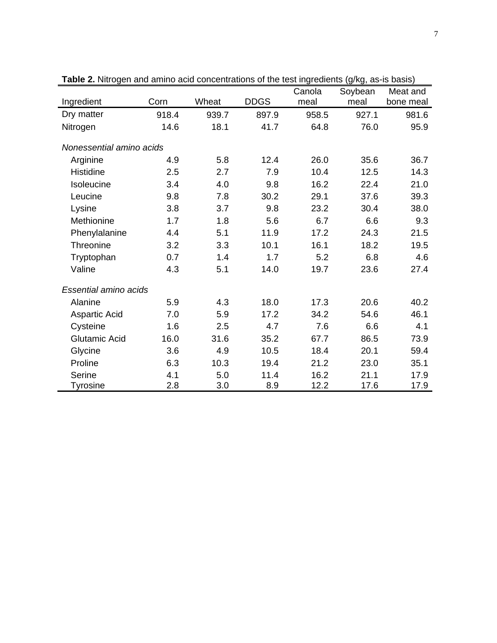|                              |       |       |             | Canola | Soybean | Meat and  |  |  |
|------------------------------|-------|-------|-------------|--------|---------|-----------|--|--|
| Ingredient                   | Corn  | Wheat | <b>DDGS</b> | meal   | meal    | bone meal |  |  |
| Dry matter                   | 918.4 | 939.7 | 897.9       | 958.5  | 927.1   | 981.6     |  |  |
| Nitrogen                     | 14.6  | 18.1  | 41.7        | 64.8   | 76.0    | 95.9      |  |  |
| Nonessential amino acids     |       |       |             |        |         |           |  |  |
| Arginine                     | 4.9   | 5.8   | 12.4        | 26.0   | 35.6    | 36.7      |  |  |
| <b>Histidine</b>             | 2.5   | 2.7   | 7.9         | 10.4   | 12.5    | 14.3      |  |  |
| Isoleucine                   | 3.4   | 4.0   | 9.8         | 16.2   | 22.4    | 21.0      |  |  |
| Leucine                      | 9.8   | 7.8   | 30.2        | 29.1   | 37.6    | 39.3      |  |  |
| Lysine                       | 3.8   | 3.7   | 9.8         | 23.2   | 30.4    | 38.0      |  |  |
| Methionine                   | 1.7   | 1.8   | 5.6         | 6.7    | 6.6     | 9.3       |  |  |
| Phenylalanine                | 4.4   | 5.1   | 11.9        | 17.2   | 24.3    | 21.5      |  |  |
| <b>Threonine</b>             | 3.2   | 3.3   | 10.1        | 16.1   | 18.2    | 19.5      |  |  |
| Tryptophan                   | 0.7   | 1.4   | 1.7         | 5.2    | 6.8     | 4.6       |  |  |
| Valine                       | 4.3   | 5.1   | 14.0        | 19.7   | 23.6    | 27.4      |  |  |
| <b>Essential amino acids</b> |       |       |             |        |         |           |  |  |
| Alanine                      | 5.9   | 4.3   | 18.0        | 17.3   | 20.6    | 40.2      |  |  |
| <b>Aspartic Acid</b>         | 7.0   | 5.9   | 17.2        | 34.2   | 54.6    | 46.1      |  |  |
| Cysteine                     | 1.6   | 2.5   | 4.7         | 7.6    | 6.6     | 4.1       |  |  |
| <b>Glutamic Acid</b>         | 16.0  | 31.6  | 35.2        | 67.7   | 86.5    | 73.9      |  |  |
| Glycine                      | 3.6   | 4.9   | 10.5        | 18.4   | 20.1    | 59.4      |  |  |
| Proline                      | 6.3   | 10.3  | 19.4        | 21.2   | 23.0    | 35.1      |  |  |
| Serine                       | 4.1   | 5.0   | 11.4        | 16.2   | 21.1    | 17.9      |  |  |
| Tyrosine                     | 2.8   | 3.0   | 8.9         | 12.2   | 17.6    | 17.9      |  |  |

**Table 2.** Nitrogen and amino acid concentrations of the test ingredients (g/kg, as-is basis)